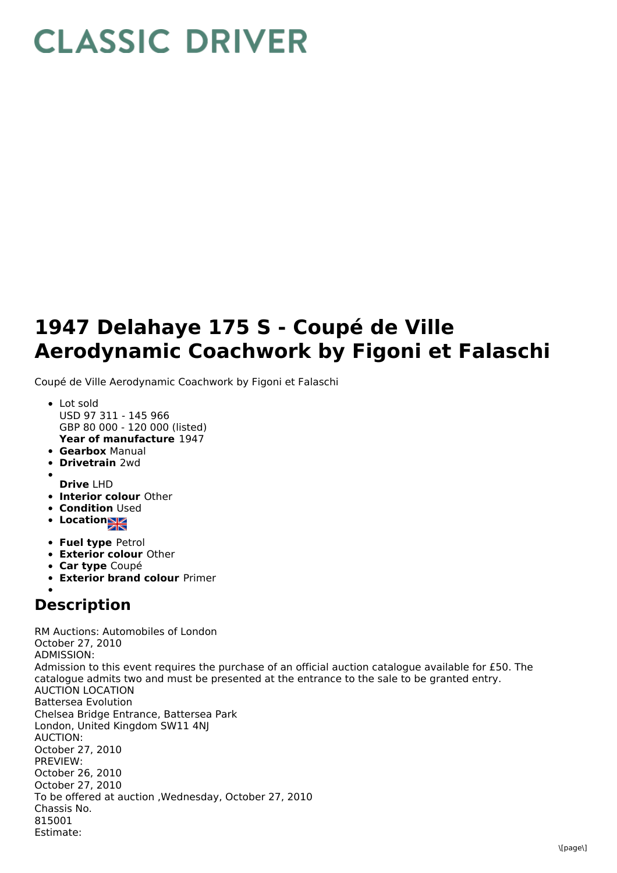## **CLASSIC DRIVER**

## **1947 Delahaye 175 S - Coupé de Ville Aerodynamic Coachwork by Figoni et Falaschi**

Coupé de Ville Aerodynamic Coachwork by Figoni et Falaschi

- **Year of manufacture** 1947 Lot sold USD 97 311 - 145 966 GBP 80 000 - 120 000 (listed)
- **Gearbox** Manual
- **Drivetrain** 2wd
- **Drive** LHD
- **Interior colour** Other
- **Condition Used**
- Location<sub>2</sub>
- **Fuel type** Petrol
- **Exterior colour** Other
- **Car type** Coupé
- **Exterior brand colour** Primer

## **Description**

RM Auctions: Automobiles of London October 27, 2010 ADMISSION: Admission to this event requires the purchase of an official auction catalogue available for £50. The catalogue admits two and must be presented at the entrance to the sale to be granted entry. AUCTION LOCATION Battersea Evolution Chelsea Bridge Entrance, Battersea Park London, United Kingdom SW11 4NJ AUCTION: October 27, 2010 PREVIEW: October 26, 2010 October 27, 2010 To be offered at auction ,Wednesday, October 27, 2010 Chassis No. 815001 Estimate: